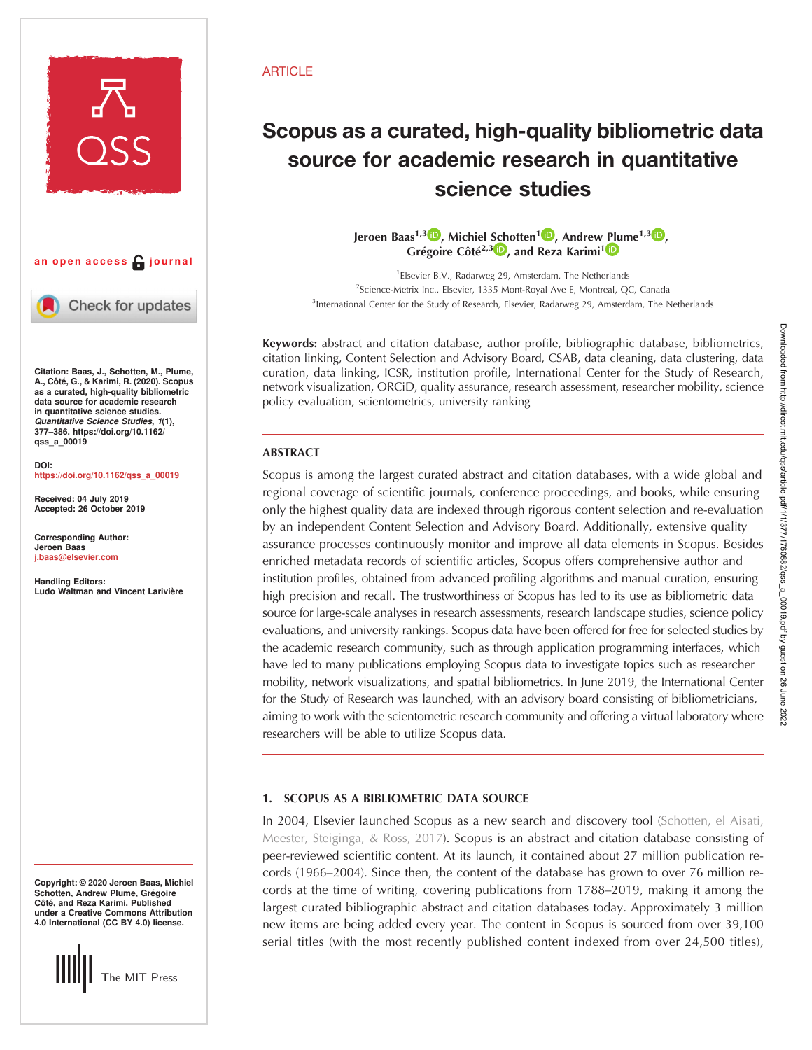



Check for updates

Citation: Baas, J., Schotten, M., Plume, A., Côté, G., & Karimi, R. (2020). Scopus as a curated, high-quality bibliometric data source for academic research in quantitative science studies. Quantitative Science Studies, 1(1), 377–386. [https://doi.org/10.1162/](https://doi.org/10.1162/qss_a_00019) [qss\\_a\\_00019](https://doi.org/10.1162/qss_a_00019)

DOI: [https://doi.org/10.1162/qss\\_a\\_00019](https://doi.org/10.1162/qss_a_00019)

Received: 04 July 2019 Accepted: 26 October 2019

Corresponding Author: Jeroen Baas [j.baas@elsevier.com](mailto:j.baas@elsevier.com)

Handling Editors: Ludo Waltman and Vincent Larivière

Copyright: © 2020 Jeroen Baas, Michiel Schotten, Andrew Plume, Grégoire Côté, and Reza Karimi. Published under a Creative Commons Attribution 4.0 International (CC BY 4.0) license.



## **ARTICLE**

# Scopus as a curated, high-quality bibliometric data source for academic research in quantitative science studies

Jeroen Baas<sup>1[,](https://orcid.org/0000-0002-4942-1426)3</sup><sup>(D</sup>, Michiel [Sch](https://orcid.org/0000-0002-6168-6507)otten<sup>1</sup><sup>(D</sup>, Andrew [Plu](https://orcid.org/0000-0002-2534-1907)me<sup>1,3</sup><sup>(D</sup>, Grégoire Côté<sup>2,3</sup><sup>1</sup>, and Reza Karimi<sup>1</sup><sup>1</sup>

<sup>1</sup>Elsevier B.V., Radarweg 29, Amsterdam, The Netherlands <sup>2</sup>Science-Metrix Inc., Elsevier, 1335 Mont-Royal Ave E, Montreal, QC, Canada <sup>3</sup>International Center for the Study of Research, Elsevier, Radarweg 29, Amsterdam, The Netherlands

Keywords: abstract and citation database, author profile, bibliographic database, bibliometrics, citation linking, Content Selection and Advisory Board, CSAB, data cleaning, data clustering, data curation, data linking, ICSR, institution profile, International Center for the Study of Research, network visualization, ORCiD, quality assurance, research assessment, researcher mobility, science policy evaluation, scientometrics, university ranking

# **ABSTRACT**

Scopus is among the largest curated abstract and citation databases, with a wide global and regional coverage of scientific journals, conference proceedings, and books, while ensuring only the highest quality data are indexed through rigorous content selection and re-evaluation by an independent Content Selection and Advisory Board. Additionally, extensive quality assurance processes continuously monitor and improve all data elements in Scopus. Besides enriched metadata records of scientific articles, Scopus offers comprehensive author and institution profiles, obtained from advanced profiling algorithms and manual curation, ensuring high precision and recall. The trustworthiness of Scopus has led to its use as bibliometric data source for large-scale analyses in research assessments, research landscape studies, science policy evaluations, and university rankings. Scopus data have been offered for free for selected studies by the academic research community, such as through application programming interfaces, which have led to many publications employing Scopus data to investigate topics such as researcher mobility, network visualizations, and spatial bibliometrics. In June 2019, the International Center for the Study of Research was launched, with an advisory board consisting of bibliometricians, aiming to work with the scientometric research community and offering a virtual laboratory where researchers will be able to utilize Scopus data.

# 1. SCOPUS AS A BIBLIOMETRIC DATA SOURCE

In 2004, Elsevier launched Scopus as a new search and discovery tool ([Schotten, el Aisati,](#page-9-0) [Meester, Steiginga, & Ross, 2017](#page-9-0)). Scopus is an abstract and citation database consisting of peer-reviewed scientific content. At its launch, it contained about 27 million publication records (1966–2004). Since then, the content of the database has grown to over 76 million records at the time of writing, covering publications from 1788–2019, making it among the largest curated bibliographic abstract and citation databases today. Approximately 3 million new items are being added every year. The content in Scopus is sourced from over 39,100 serial titles (with the most recently published content indexed from over 24,500 titles),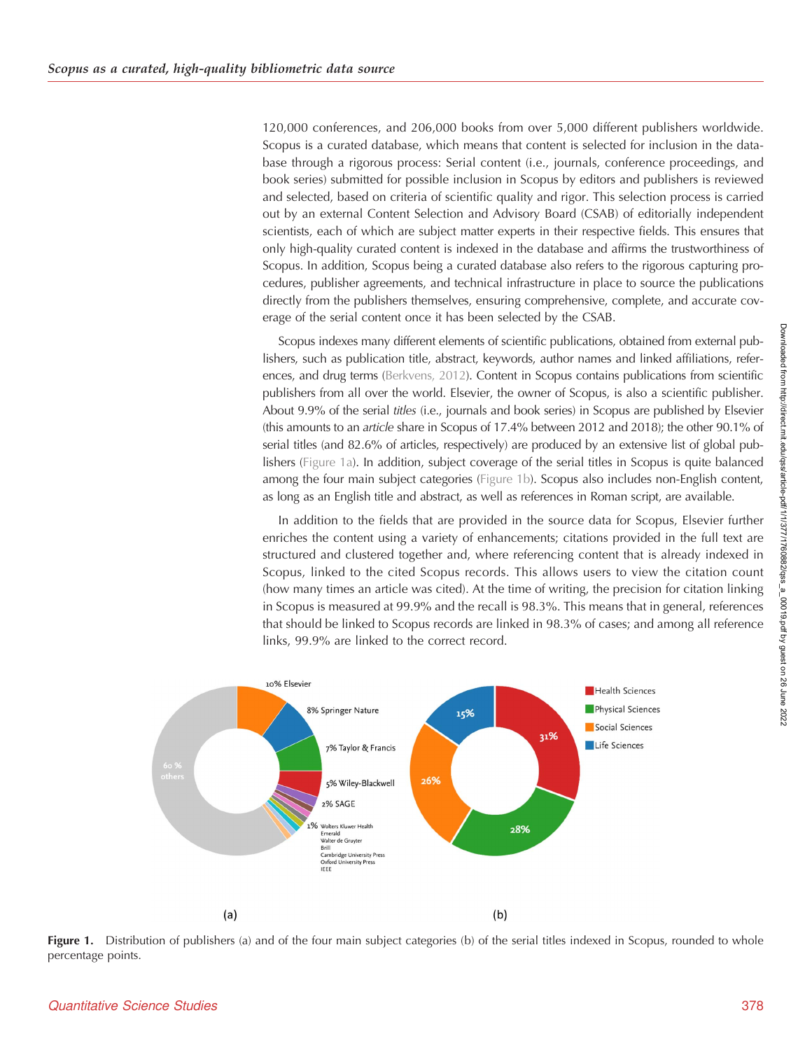<span id="page-1-0"></span>120,000 conferences, and 206,000 books from over 5,000 different publishers worldwide. Scopus is a curated database, which means that content is selected for inclusion in the database through a rigorous process: Serial content (i.e., journals, conference proceedings, and book series) submitted for possible inclusion in Scopus by editors and publishers is reviewed and selected, based on criteria of scientific quality and rigor. This selection process is carried out by an external Content Selection and Advisory Board (CSAB) of editorially independent scientists, each of which are subject matter experts in their respective fields. This ensures that only high-quality curated content is indexed in the database and affirms the trustworthiness of Scopus. In addition, Scopus being a curated database also refers to the rigorous capturing procedures, publisher agreements, and technical infrastructure in place to source the publications directly from the publishers themselves, ensuring comprehensive, complete, and accurate coverage of the serial content once it has been selected by the CSAB.

Scopus indexes many different elements of scientific publications, obtained from external publishers, such as publication title, abstract, keywords, author names and linked affiliations, references, and drug terms ([Berkvens, 2012](#page-8-0)). Content in Scopus contains publications from scientific publishers from all over the world. Elsevier, the owner of Scopus, is also a scientific publisher. About 9.9% of the serial titles (i.e., journals and book series) in Scopus are published by Elsevier (this amounts to an article share in Scopus of 17.4% between 2012 and 2018); the other 90.1% of serial titles (and 82.6% of articles, respectively) are produced by an extensive list of global publishers (Figure 1a). In addition, subject coverage of the serial titles in Scopus is quite balanced among the four main subject categories (Figure 1b). Scopus also includes non-English content, as long as an English title and abstract, as well as references in Roman script, are available.

In addition to the fields that are provided in the source data for Scopus, Elsevier further enriches the content using a variety of enhancements; citations provided in the full text are structured and clustered together and, where referencing content that is already indexed in Scopus, linked to the cited Scopus records. This allows users to view the citation count (how many times an article was cited). At the time of writing, the precision for citation linking in Scopus is measured at 99.9% and the recall is 98.3%. This means that in general, references that should be linked to Scopus records are linked in 98.3% of cases; and among all reference links, 99.9% are linked to the correct record.



Downloaded from http://direct.mit.edulqss/article-pdf/1/1/377/1760882/qss\_a\_00019.pdf by guest on 26 June Downloaded from http://direct.mit.edu/qss/article-pdf/1/1/377/1760882/qss\_a\_00019.pdf by guest on 26 June 2022

2022

Figure 1. Distribution of publishers (a) and of the four main subject categories (b) of the serial titles indexed in Scopus, rounded to whole percentage points.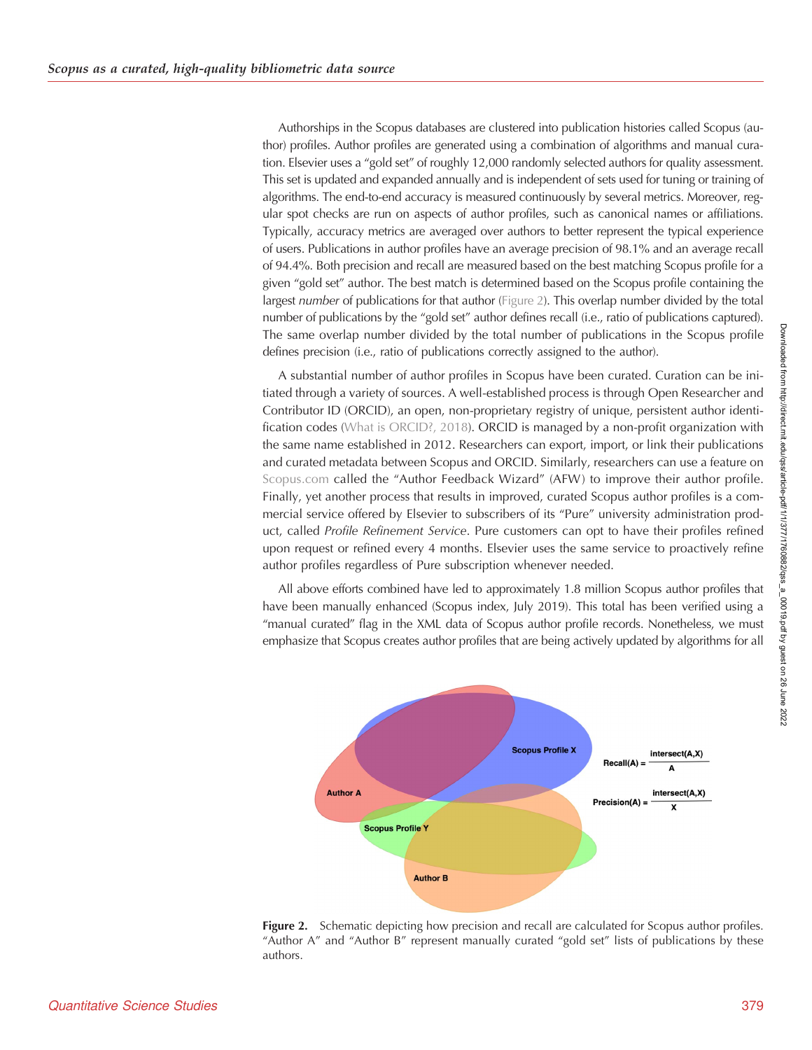Authorships in the Scopus databases are clustered into publication histories called Scopus (author) profiles. Author profiles are generated using a combination of algorithms and manual curation. Elsevier uses a "gold set" of roughly 12,000 randomly selected authors for quality assessment. This set is updated and expanded annually and is independent of sets used for tuning or training of algorithms. The end-to-end accuracy is measured continuously by several metrics. Moreover, regular spot checks are run on aspects of author profiles, such as canonical names or affiliations. Typically, accuracy metrics are averaged over authors to better represent the typical experience of users. Publications in author profiles have an average precision of 98.1% and an average recall of 94.4%. Both precision and recall are measured based on the best matching Scopus profile for a given "gold set" author. The best match is determined based on the Scopus profile containing the largest number of publications for that author (Figure 2). This overlap number divided by the total number of publications by the "gold set" author defines recall (i.e., ratio of publications captured). The same overlap number divided by the total number of publications in the Scopus profile defines precision (i.e., ratio of publications correctly assigned to the author).

A substantial number of author profiles in Scopus have been curated. Curation can be initiated through a variety of sources. A well-established process is through Open Researcher and Contributor ID (ORCID), an open, non-proprietary registry of unique, persistent author identi-fication codes ([What is ORCID?, 2018](#page-9-0)). ORCID is managed by a non-profit organization with the same name established in 2012. Researchers can export, import, or link their publications and curated metadata between Scopus and ORCID. Similarly, researchers can use a feature on [Scopus.com](http://Scopus.com) called the "Author Feedback Wizard" (AFW) to improve their author profile. Finally, yet another process that results in improved, curated Scopus author profiles is a commercial service offered by Elsevier to subscribers of its "Pure" university administration product, called Profile Refinement Service. Pure customers can opt to have their profiles refined upon request or refined every 4 months. Elsevier uses the same service to proactively refine author profiles regardless of Pure subscription whenever needed.

All above efforts combined have led to approximately 1.8 million Scopus author profiles that have been manually enhanced (Scopus index, July 2019). This total has been verified using a "manual curated" flag in the XML data of Scopus author profile records. Nonetheless, we must emphasize that Scopus creates author profiles that are being actively updated by algorithms for all



Figure 2. Schematic depicting how precision and recall are calculated for Scopus author profiles. "Author A" and "Author B" represent manually curated "gold set" lists of publications by these authors.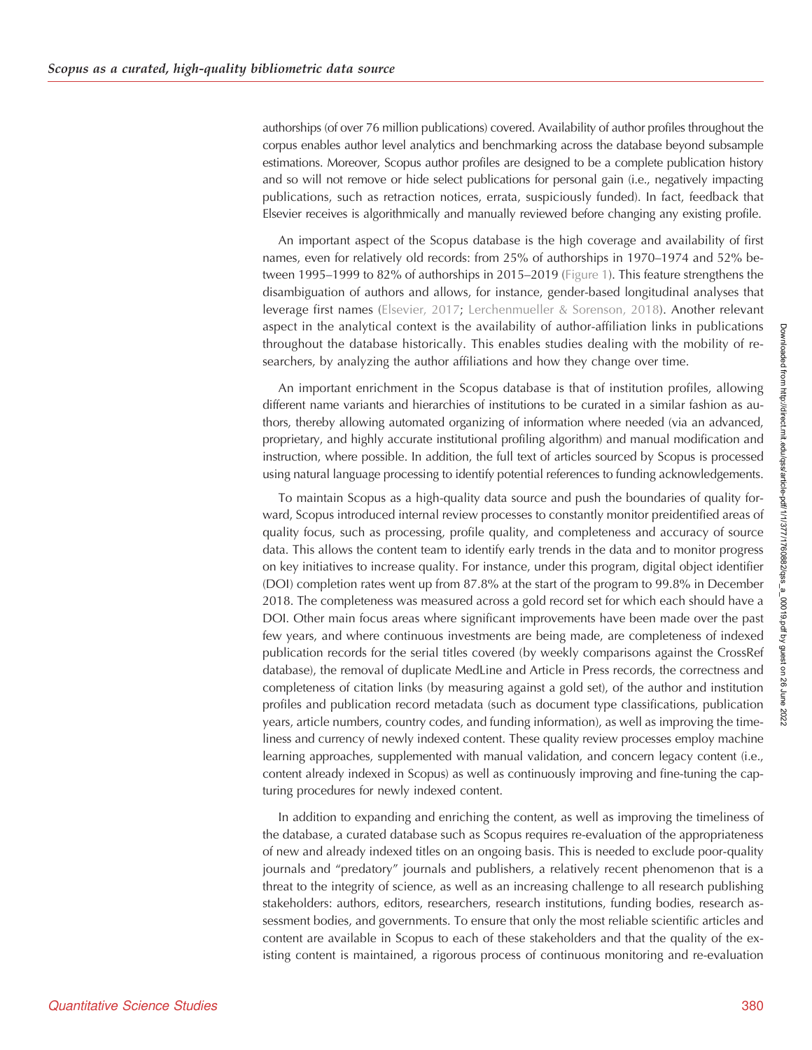authorships (of over 76 million publications) covered. Availability of author profiles throughout the corpus enables author level analytics and benchmarking across the database beyond subsample estimations. Moreover, Scopus author profiles are designed to be a complete publication history and so will not remove or hide select publications for personal gain (i.e., negatively impacting publications, such as retraction notices, errata, suspiciously funded). In fact, feedback that Elsevier receives is algorithmically and manually reviewed before changing any existing profile.

An important aspect of the Scopus database is the high coverage and availability of first names, even for relatively old records: from 25% of authorships in 1970–1974 and 52% between 1995–1999 to 82% of authorships in 2015–2019 [\(Figure 1\)](#page-1-0). This feature strengthens the disambiguation of authors and allows, for instance, gender-based longitudinal analyses that leverage first names ([Elsevier, 2017](#page-8-0); [Lerchenmueller & Sorenson, 2018](#page-8-0)). Another relevant aspect in the analytical context is the availability of author-affiliation links in publications throughout the database historically. This enables studies dealing with the mobility of researchers, by analyzing the author affiliations and how they change over time.

An important enrichment in the Scopus database is that of institution profiles, allowing different name variants and hierarchies of institutions to be curated in a similar fashion as authors, thereby allowing automated organizing of information where needed (via an advanced, proprietary, and highly accurate institutional profiling algorithm) and manual modification and instruction, where possible. In addition, the full text of articles sourced by Scopus is processed using natural language processing to identify potential references to funding acknowledgements.

To maintain Scopus as a high-quality data source and push the boundaries of quality forward, Scopus introduced internal review processes to constantly monitor preidentified areas of quality focus, such as processing, profile quality, and completeness and accuracy of source data. This allows the content team to identify early trends in the data and to monitor progress on key initiatives to increase quality. For instance, under this program, digital object identifier (DOI) completion rates went up from 87.8% at the start of the program to 99.8% in December 2018. The completeness was measured across a gold record set for which each should have a DOI. Other main focus areas where significant improvements have been made over the past few years, and where continuous investments are being made, are completeness of indexed publication records for the serial titles covered (by weekly comparisons against the CrossRef database), the removal of duplicate MedLine and Article in Press records, the correctness and completeness of citation links (by measuring against a gold set), of the author and institution profiles and publication record metadata (such as document type classifications, publication years, article numbers, country codes, and funding information), as well as improving the timeliness and currency of newly indexed content. These quality review processes employ machine learning approaches, supplemented with manual validation, and concern legacy content (i.e., content already indexed in Scopus) as well as continuously improving and fine-tuning the capturing procedures for newly indexed content.

In addition to expanding and enriching the content, as well as improving the timeliness of the database, a curated database such as Scopus requires re-evaluation of the appropriateness of new and already indexed titles on an ongoing basis. This is needed to exclude poor-quality journals and "predatory" journals and publishers, a relatively recent phenomenon that is a threat to the integrity of science, as well as an increasing challenge to all research publishing stakeholders: authors, editors, researchers, research institutions, funding bodies, research assessment bodies, and governments. To ensure that only the most reliable scientific articles and content are available in Scopus to each of these stakeholders and that the quality of the existing content is maintained, a rigorous process of continuous monitoring and re-evaluation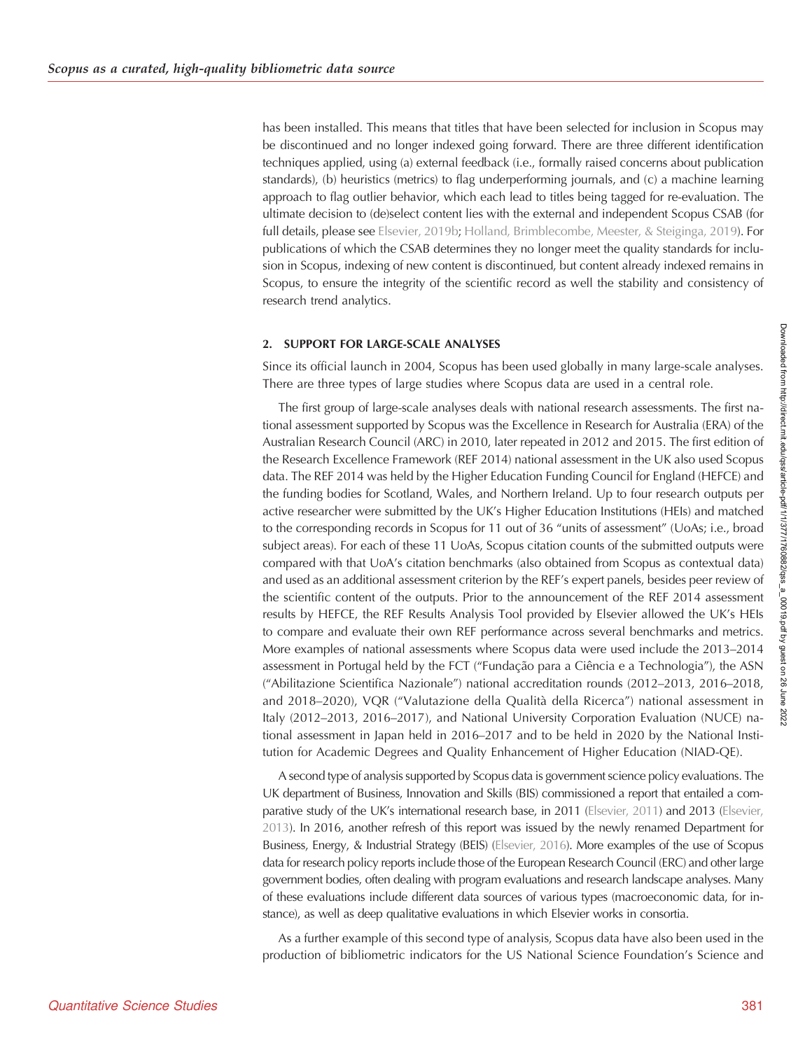has been installed. This means that titles that have been selected for inclusion in Scopus may be discontinued and no longer indexed going forward. There are three different identification techniques applied, using (a) external feedback (i.e., formally raised concerns about publication standards), (b) heuristics (metrics) to flag underperforming journals, and (c) a machine learning approach to flag outlier behavior, which each lead to titles being tagged for re-evaluation. The ultimate decision to (de)select content lies with the external and independent Scopus CSAB (for full details, please see [Elsevier, 2019b;](#page-8-0) [Holland, Brimblecombe, Meester, & Steiginga, 2019\)](#page-8-0). For publications of which the CSAB determines they no longer meet the quality standards for inclusion in Scopus, indexing of new content is discontinued, but content already indexed remains in Scopus, to ensure the integrity of the scientific record as well the stability and consistency of research trend analytics.

#### 2. SUPPORT FOR LARGE-SCALE ANALYSES

Since its official launch in 2004, Scopus has been used globally in many large-scale analyses. There are three types of large studies where Scopus data are used in a central role.

The first group of large-scale analyses deals with national research assessments. The first national assessment supported by Scopus was the Excellence in Research for Australia (ERA) of the Australian Research Council (ARC) in 2010, later repeated in 2012 and 2015. The first edition of the Research Excellence Framework (REF 2014) national assessment in the UK also used Scopus data. The REF 2014 was held by the Higher Education Funding Council for England (HEFCE) and the funding bodies for Scotland, Wales, and Northern Ireland. Up to four research outputs per active researcher were submitted by the UK's Higher Education Institutions (HEIs) and matched to the corresponding records in Scopus for 11 out of 36 "units of assessment" (UoAs; i.e., broad subject areas). For each of these 11 UoAs, Scopus citation counts of the submitted outputs were compared with that UoA's citation benchmarks (also obtained from Scopus as contextual data) and used as an additional assessment criterion by the REF's expert panels, besides peer review of the scientific content of the outputs. Prior to the announcement of the REF 2014 assessment results by HEFCE, the REF Results Analysis Tool provided by Elsevier allowed the UK's HEIs to compare and evaluate their own REF performance across several benchmarks and metrics. More examples of national assessments where Scopus data were used include the 2013–2014 assessment in Portugal held by the FCT ("Fundação para a Ciência e a Technologia"), the ASN ("Abilitazione Scientifica Nazionale") national accreditation rounds (2012–2013, 2016–2018, and 2018–2020), VQR ("Valutazione della Qualità della Ricerca") national assessment in Italy (2012–2013, 2016–2017), and National University Corporation Evaluation (NUCE) national assessment in Japan held in 2016–2017 and to be held in 2020 by the National Institution for Academic Degrees and Quality Enhancement of Higher Education (NIAD-QE).

A second type of analysis supported by Scopus data is government science policy evaluations. The UK department of Business, Innovation and Skills (BIS) commissioned a report that entailed a comparative study of the UK's international research base, in 2011 [\(Elsevier, 2011](#page-8-0)) and 2013 [\(Elsevier,](#page-8-0) [2013](#page-8-0)). In 2016, another refresh of this report was issued by the newly renamed Department for Business, Energy, & Industrial Strategy (BEIS) [\(Elsevier, 2016](#page-8-0)). More examples of the use of Scopus data for research policy reports include those of the European Research Council (ERC) and other large government bodies, often dealing with program evaluations and research landscape analyses. Many of these evaluations include different data sources of various types (macroeconomic data, for instance), as well as deep qualitative evaluations in which Elsevier works in consortia.

As a further example of this second type of analysis, Scopus data have also been used in the production of bibliometric indicators for the US National Science Foundation's Science and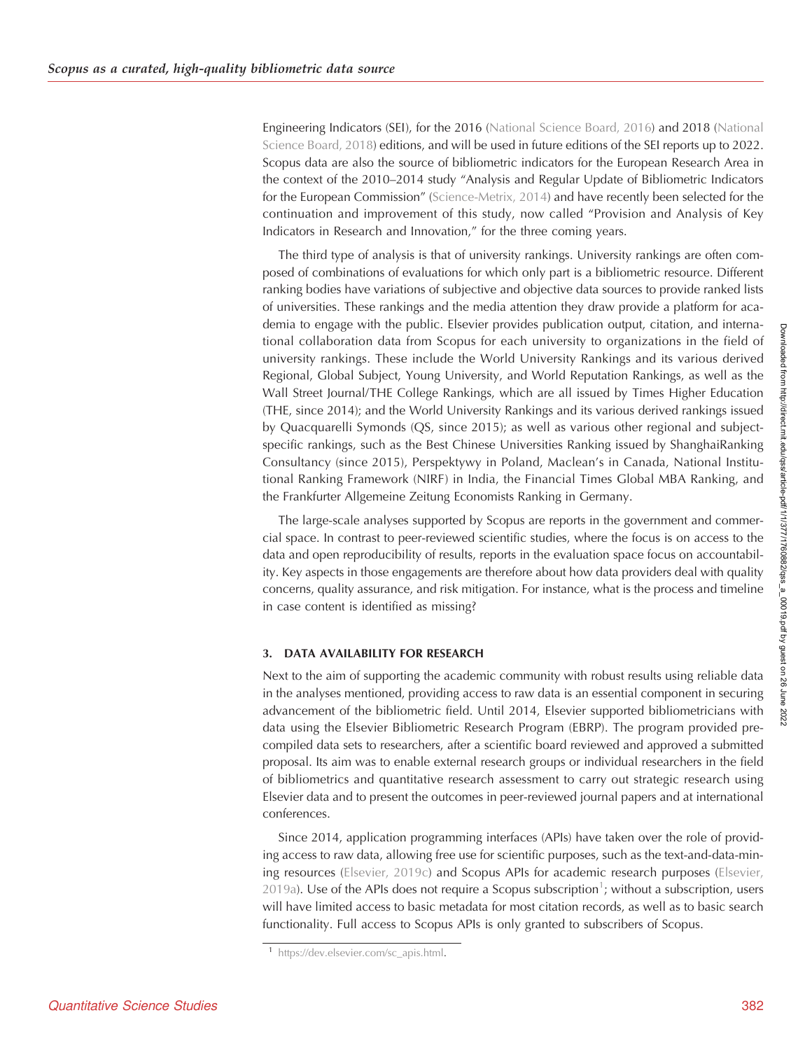Engineering Indicators (SEI), for the 2016 [\(National Science Board, 2016](#page-9-0)) and 2018 [\(National](#page-9-0) [Science Board, 2018](#page-9-0)) editions, and will be used in future editions of the SEI reports up to 2022. Scopus data are also the source of bibliometric indicators for the European Research Area in the context of the 2010–2014 study "Analysis and Regular Update of Bibliometric Indicators for the European Commission" [\(Science-Metrix, 2014\)](#page-9-0) and have recently been selected for the continuation and improvement of this study, now called "Provision and Analysis of Key Indicators in Research and Innovation," for the three coming years.

The third type of analysis is that of university rankings. University rankings are often composed of combinations of evaluations for which only part is a bibliometric resource. Different ranking bodies have variations of subjective and objective data sources to provide ranked lists of universities. These rankings and the media attention they draw provide a platform for academia to engage with the public. Elsevier provides publication output, citation, and international collaboration data from Scopus for each university to organizations in the field of university rankings. These include the World University Rankings and its various derived Regional, Global Subject, Young University, and World Reputation Rankings, as well as the Wall Street Journal/THE College Rankings, which are all issued by Times Higher Education (THE, since 2014); and the World University Rankings and its various derived rankings issued by Quacquarelli Symonds (QS, since 2015); as well as various other regional and subjectspecific rankings, such as the Best Chinese Universities Ranking issued by ShanghaiRanking Consultancy (since 2015), Perspektywy in Poland, Maclean's in Canada, National Institutional Ranking Framework (NIRF) in India, the Financial Times Global MBA Ranking, and the Frankfurter Allgemeine Zeitung Economists Ranking in Germany.

The large-scale analyses supported by Scopus are reports in the government and commercial space. In contrast to peer-reviewed scientific studies, where the focus is on access to the data and open reproducibility of results, reports in the evaluation space focus on accountability. Key aspects in those engagements are therefore about how data providers deal with quality concerns, quality assurance, and risk mitigation. For instance, what is the process and timeline in case content is identified as missing?

## 3. DATA AVAILABILITY FOR RESEARCH

Next to the aim of supporting the academic community with robust results using reliable data in the analyses mentioned, providing access to raw data is an essential component in securing advancement of the bibliometric field. Until 2014, Elsevier supported bibliometricians with data using the Elsevier Bibliometric Research Program (EBRP). The program provided precompiled data sets to researchers, after a scientific board reviewed and approved a submitted proposal. Its aim was to enable external research groups or individual researchers in the field of bibliometrics and quantitative research assessment to carry out strategic research using Elsevier data and to present the outcomes in peer-reviewed journal papers and at international conferences.

Since 2014, application programming interfaces (APIs) have taken over the role of providing access to raw data, allowing free use for scientific purposes, such as the text-and-data-mining resources [\(Elsevier, 2019c](#page-8-0)) and Scopus APIs for academic research purposes ([Elsevier,](#page-8-0) [2019a\)](#page-8-0). Use of the APIs does not require a Scopus subscription<sup>1</sup>; without a subscription, users will have limited access to basic metadata for most citation records, as well as to basic search functionality. Full access to Scopus APIs is only granted to subscribers of Scopus.

<sup>1</sup> [https://dev.elsevier.com/sc\\_apis.html.](https://dev.elsevier.com/sc_apis.html)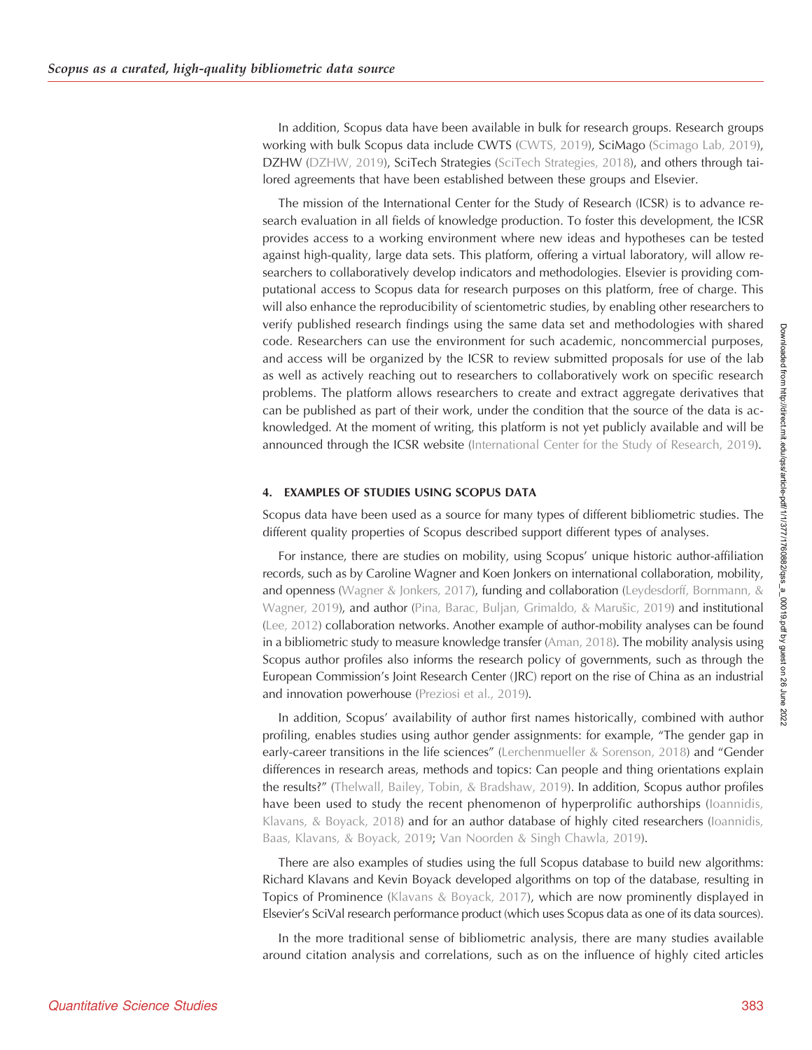In addition, Scopus data have been available in bulk for research groups. Research groups working with bulk Scopus data include CWTS [\(CWTS, 2019\)](#page-8-0), SciMago [\(Scimago Lab, 2019\)](#page-9-0), DZHW [\(DZHW, 2019](#page-8-0)), SciTech Strategies ([SciTech Strategies, 2018](#page-9-0)), and others through tailored agreements that have been established between these groups and Elsevier.

The mission of the International Center for the Study of Research (ICSR) is to advance research evaluation in all fields of knowledge production. To foster this development, the ICSR provides access to a working environment where new ideas and hypotheses can be tested against high-quality, large data sets. This platform, offering a virtual laboratory, will allow researchers to collaboratively develop indicators and methodologies. Elsevier is providing computational access to Scopus data for research purposes on this platform, free of charge. This will also enhance the reproducibility of scientometric studies, by enabling other researchers to verify published research findings using the same data set and methodologies with shared code. Researchers can use the environment for such academic, noncommercial purposes, and access will be organized by the ICSR to review submitted proposals for use of the lab as well as actively reaching out to researchers to collaboratively work on specific research problems. The platform allows researchers to create and extract aggregate derivatives that can be published as part of their work, under the condition that the source of the data is acknowledged. At the moment of writing, this platform is not yet publicly available and will be announced through the ICSR website ([International Center for the Study of Research, 2019](#page-8-0)).

#### 4. EXAMPLES OF STUDIES USING SCOPUS DATA

Scopus data have been used as a source for many types of different bibliometric studies. The different quality properties of Scopus described support different types of analyses.

For instance, there are studies on mobility, using Scopus' unique historic author-affiliation records, such as by Caroline Wagner and Koen Jonkers on international collaboration, mobility, and openness ([Wagner & Jonkers, 2017\)](#page-9-0), funding and collaboration ([Leydesdorff, Bornmann, &](#page-9-0) [Wagner, 2019\)](#page-9-0), and author ([Pina, Barac, Buljan, Grimaldo, & Maru](#page-9-0)šic, 2019) and institutional [\(Lee, 2012](#page-8-0)) collaboration networks. Another example of author-mobility analyses can be found in a bibliometric study to measure knowledge transfer [\(Aman, 2018](#page-8-0)). The mobility analysis using Scopus author profiles also informs the research policy of governments, such as through the European Commission's Joint Research Center (JRC) report on the rise of China as an industrial and innovation powerhouse ([Preziosi et al., 2019](#page-9-0)).

In addition, Scopus' availability of author first names historically, combined with author profiling, enables studies using author gender assignments: for example, "The gender gap in early-career transitions in the life sciences" [\(Lerchenmueller & Sorenson, 2018\)](#page-8-0) and "Gender differences in research areas, methods and topics: Can people and thing orientations explain the results?" [\(Thelwall, Bailey, Tobin, & Bradshaw, 2019](#page-9-0)). In addition, Scopus author profiles have been used to study the recent phenomenon of hyperprolific authorships ([Ioannidis,](#page-8-0) [Klavans, & Boyack, 2018](#page-8-0)) and for an author database of highly cited researchers [\(Ioannidis,](#page-8-0) [Baas, Klavans, & Boyack, 2019](#page-8-0); [Van Noorden & Singh Chawla, 2019\)](#page-9-0).

There are also examples of studies using the full Scopus database to build new algorithms: Richard Klavans and Kevin Boyack developed algorithms on top of the database, resulting in Topics of Prominence ([Klavans & Boyack, 2017\)](#page-8-0), which are now prominently displayed in Elsevier's SciVal research performance product (which uses Scopus data as one of its data sources).

In the more traditional sense of bibliometric analysis, there are many studies available around citation analysis and correlations, such as on the influence of highly cited articles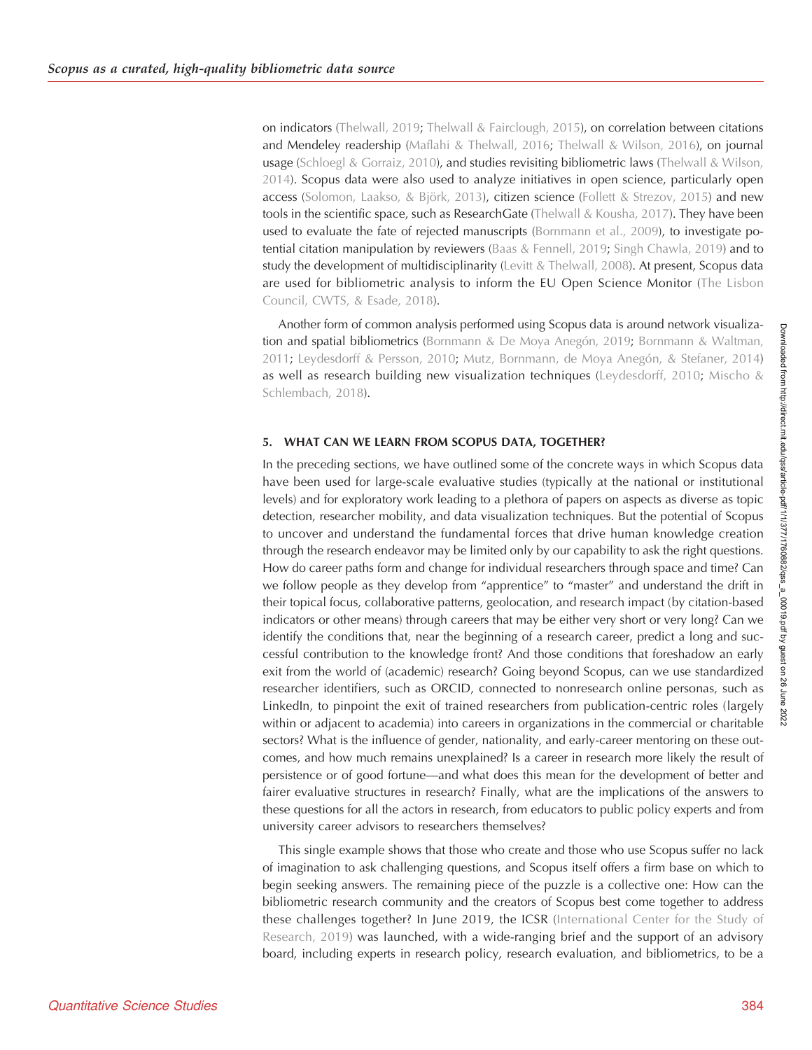on indicators ([Thelwall, 2019;](#page-9-0) [Thelwall & Fairclough, 2015\)](#page-9-0), on correlation between citations and Mendeley readership ([Maflahi & Thelwall, 2016;](#page-9-0) [Thelwall & Wilson, 2016\)](#page-9-0), on journal usage [\(Schloegl & Gorraiz, 2010](#page-9-0)), and studies revisiting bibliometric laws ([Thelwall & Wilson,](#page-9-0) [2014\)](#page-9-0). Scopus data were also used to analyze initiatives in open science, particularly open access [\(Solomon, Laakso, & Björk, 2013](#page-9-0)), citizen science [\(Follett & Strezov, 2015](#page-8-0)) and new tools in the scientific space, such as ResearchGate ([Thelwall & Kousha, 2017\)](#page-9-0). They have been used to evaluate the fate of rejected manuscripts ([Bornmann et al., 2009\)](#page-8-0), to investigate potential citation manipulation by reviewers [\(Baas & Fennell, 2019;](#page-8-0) [Singh Chawla, 2019](#page-9-0)) and to study the development of multidisciplinarity ([Levitt & Thelwall, 2008](#page-8-0)). At present, Scopus data are used for bibliometric analysis to inform the EU Open Science Monitor [\(The Lisbon](#page-9-0) [Council, CWTS, & Esade, 2018\)](#page-9-0).

Another form of common analysis performed using Scopus data is around network visualization and spatial bibliometrics [\(Bornmann & De Moya Anegón, 2019;](#page-8-0) [Bornmann & Waltman,](#page-8-0) [2011;](#page-8-0) [Leydesdorff & Persson, 2010;](#page-8-0) [Mutz, Bornmann, de Moya Anegón, & Stefaner, 2014](#page-9-0)) as well as research building new visualization techniques ([Leydesdorff, 2010](#page-8-0); [Mischo &](#page-9-0) [Schlembach, 2018](#page-9-0)).

#### 5. WHAT CAN WE LEARN FROM SCOPUS DATA, TOGETHER?

In the preceding sections, we have outlined some of the concrete ways in which Scopus data have been used for large-scale evaluative studies (typically at the national or institutional levels) and for exploratory work leading to a plethora of papers on aspects as diverse as topic detection, researcher mobility, and data visualization techniques. But the potential of Scopus to uncover and understand the fundamental forces that drive human knowledge creation through the research endeavor may be limited only by our capability to ask the right questions. How do career paths form and change for individual researchers through space and time? Can we follow people as they develop from "apprentice" to "master" and understand the drift in their topical focus, collaborative patterns, geolocation, and research impact (by citation-based indicators or other means) through careers that may be either very short or very long? Can we identify the conditions that, near the beginning of a research career, predict a long and successful contribution to the knowledge front? And those conditions that foreshadow an early exit from the world of (academic) research? Going beyond Scopus, can we use standardized researcher identifiers, such as ORCID, connected to nonresearch online personas, such as LinkedIn, to pinpoint the exit of trained researchers from publication-centric roles (largely within or adjacent to academia) into careers in organizations in the commercial or charitable sectors? What is the influence of gender, nationality, and early-career mentoring on these outcomes, and how much remains unexplained? Is a career in research more likely the result of persistence or of good fortune—and what does this mean for the development of better and fairer evaluative structures in research? Finally, what are the implications of the answers to these questions for all the actors in research, from educators to public policy experts and from university career advisors to researchers themselves?

This single example shows that those who create and those who use Scopus suffer no lack of imagination to ask challenging questions, and Scopus itself offers a firm base on which to begin seeking answers. The remaining piece of the puzzle is a collective one: How can the bibliometric research community and the creators of Scopus best come together to address these challenges together? In June 2019, the ICSR ([International Center for the Study of](#page-8-0) [Research, 2019](#page-8-0)) was launched, with a wide-ranging brief and the support of an advisory board, including experts in research policy, research evaluation, and bibliometrics, to be a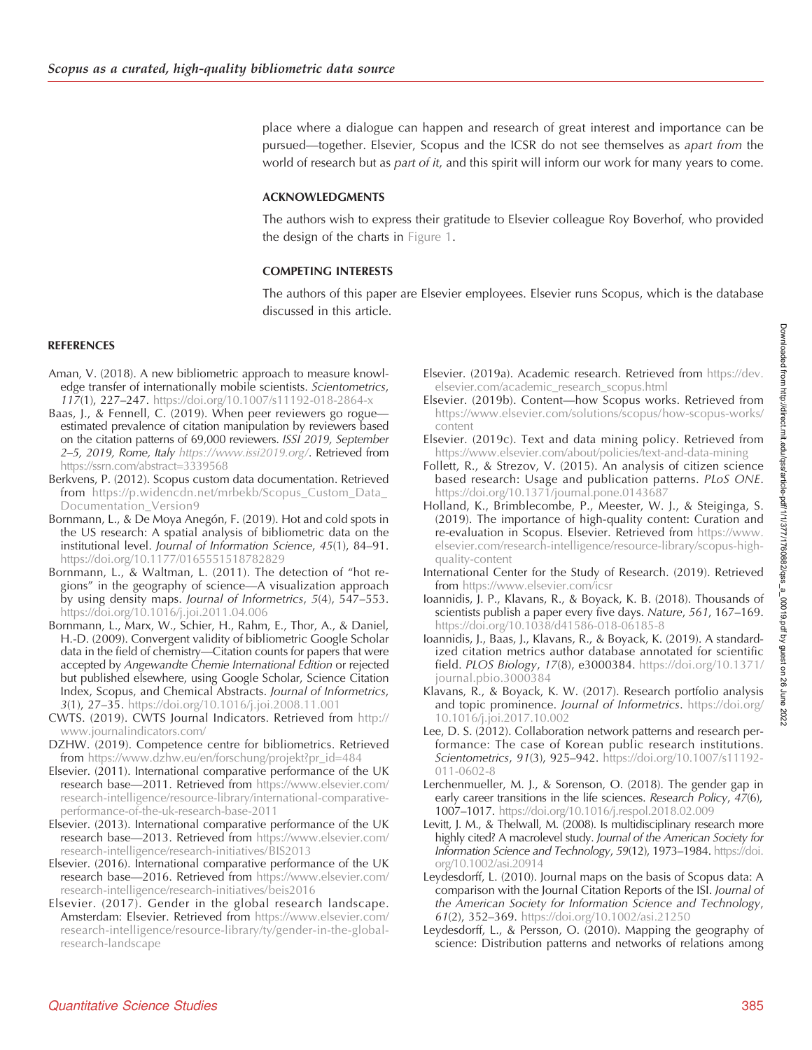<span id="page-8-0"></span>place where a dialogue can happen and research of great interest and importance can be pursued—together. Elsevier, Scopus and the ICSR do not see themselves as apart from the world of research but as *part of it*, and this spirit will inform our work for many years to come.

#### ACKNOWLEDGMENTS

The authors wish to express their gratitude to Elsevier colleague Roy Boverhof, who provided the design of the charts in [Figure 1](#page-1-0).

## COMPETING INTERESTS

The authors of this paper are Elsevier employees. Elsevier runs Scopus, which is the database discussed in this article.

#### REFERENCES

- Aman, V. (2018). A new bibliometric approach to measure knowledge transfer of internationally mobile scientists. Scientometrics, 117(1), 227–247. <https://doi.org/10.1007/s11192-018-2864-x>
- Baas, J., & Fennell, C. (2019). When peer reviewers go rogue estimated prevalence of citation manipulation by reviewers based on the citation patterns of 69,000 reviewers. ISSI 2019, September 2–5, 2019, Rome, Italy <https://www.issi2019.org/>. Retrieved from <https://ssrn.com/abstract=3339568>
- Berkvens, P. (2012). Scopus custom data documentation. Retrieved from [https://p.widencdn.net/mrbekb/Scopus\\_Custom\\_Data\\_](https://p.widencdn.net/mrbekb/Scopus_Custom_Data_Documentation_Version9) [Documentation\\_Version9](https://p.widencdn.net/mrbekb/Scopus_Custom_Data_Documentation_Version9)
- Bornmann, L., & De Moya Anegón, F. (2019). Hot and cold spots in the US research: A spatial analysis of bibliometric data on the institutional level. Journal of Information Science, 45(1), 84–91. <https://doi.org/10.1177/0165551518782829>
- Bornmann, L., & Waltman, L. (2011). The detection of "hot regions" in the geography of science—A visualization approach by using density maps. Journal of Informetrics, 5(4), 547–553. <https://doi.org/10.1016/j.joi.2011.04.006>
- Bornmann, L., Marx, W., Schier, H., Rahm, E., Thor, A., & Daniel, H.-D. (2009). Convergent validity of bibliometric Google Scholar data in the field of chemistry—Citation counts for papers that were accepted by Angewandte Chemie International Edition or rejected but published elsewhere, using Google Scholar, Science Citation Index, Scopus, and Chemical Abstracts. Journal of Informetrics, 3(1), 27–35. <https://doi.org/10.1016/j.joi.2008.11.001>
- CWTS. (2019). CWTS Journal Indicators. Retrieved from [http://](http://www.journalindicators.com/) [www.journalindicators.com/](http://www.journalindicators.com/)
- DZHW. (2019). Competence centre for bibliometrics. Retrieved from [https://www.dzhw.eu/en/forschung/projekt?pr\\_id=484](https://www.dzhw.eu/en/forschung/projekt?pr_id=484)
- Elsevier. (2011). International comparative performance of the UK research base—2011. Retrieved from [https://www.elsevier.com/](https://www.elsevier.com/research-intelligence/resource-library/international-comparative-performance-of-the-uk-research-base-2011) [research-intelligence/resource-library/international-comparative](https://www.elsevier.com/research-intelligence/resource-library/international-comparative-performance-of-the-uk-research-base-2011)[performance-of-the-uk-research-base-2011](https://www.elsevier.com/research-intelligence/resource-library/international-comparative-performance-of-the-uk-research-base-2011)
- Elsevier. (2013). International comparative performance of the UK research base—2013. Retrieved from [https://www.elsevier.com/](https://www.elsevier.com/research-intelligence/research-initiatives/BIS2013) [research-intelligence/research-initiatives/BIS2013](https://www.elsevier.com/research-intelligence/research-initiatives/BIS2013)
- Elsevier. (2016). International comparative performance of the UK research base—2016. Retrieved from [https://www.elsevier.com/](https://www.elsevier.com/research-intelligence/research-initiatives/beis2016) [research-intelligence/research-initiatives/beis2016](https://www.elsevier.com/research-intelligence/research-initiatives/beis2016)
- Elsevier. (2017). Gender in the global research landscape. Amsterdam: Elsevier. Retrieved from [https://www.elsevier.com/](https://www.elsevier.com/research-intelligence/resource-library/ty/gender-in-the-global-research-landscape) [research-intelligence/resource-library/ty/gender-in-the-global](https://www.elsevier.com/research-intelligence/resource-library/ty/gender-in-the-global-research-landscape)[research-landscape](https://www.elsevier.com/research-intelligence/resource-library/ty/gender-in-the-global-research-landscape)
- Elsevier. (2019a). Academic research. Retrieved from [https://dev.](https://dev.elsevier.com/academic_research_scopus.html) [elsevier.com/academic\\_research\\_scopus.html](https://dev.elsevier.com/academic_research_scopus.html)
- Elsevier. (2019b). Content—how Scopus works. Retrieved from [https://www.elsevier.com/solutions/scopus/how-scopus-works/](https://www.elsevier.com/solutions/scopus/how-scopus-works/content) [content](https://www.elsevier.com/solutions/scopus/how-scopus-works/content)
- Elsevier. (2019c). Text and data mining policy. Retrieved from <https://www.elsevier.com/about/policies/text-and-data-mining>
- Follett, R., & Strezov, V. (2015). An analysis of citizen science based research: Usage and publication patterns. PLoS ONE. <https://doi.org/10.1371/journal.pone.0143687>
- Holland, K., Brimblecombe, P., Meester, W. J., & Steiginga, S. (2019). The importance of high-quality content: Curation and re-evaluation in Scopus. Elsevier. Retrieved from [https://www.](https://www.elsevier.com/research-intelligence/resource-library/scopus-high-quality-content) [elsevier.com/research-intelligence/resource-library/scopus-high](https://www.elsevier.com/research-intelligence/resource-library/scopus-high-quality-content)[quality-content](https://www.elsevier.com/research-intelligence/resource-library/scopus-high-quality-content)
- International Center for the Study of Research. (2019). Retrieved from <https://www.elsevier.com/icsr>
- Ioannidis, J. P., Klavans, R., & Boyack, K. B. (2018). Thousands of scientists publish a paper every five days. Nature, 561, 167–169. <https://doi.org/10.1038/d41586-018-06185-8>
- Ioannidis, J., Baas, J., Klavans, R., & Boyack, K. (2019). A standardized citation metrics author database annotated for scientific field. PLOS Biology, 17(8), e3000384. [https://doi.org/10.1371/](https://doi.org/10.1371/journal.pbio.3000384) [journal.pbio.3000384](https://doi.org/10.1371/journal.pbio.3000384)
- Klavans, R., & Boyack, K. W. (2017). Research portfolio analysis and topic prominence. Journal of Informetrics. [https://doi.org/](https://doi.org/10.1016/j.joi.2017.10.002) [10.1016/j.joi.2017.10.002](https://doi.org/10.1016/j.joi.2017.10.002)
- Lee, D. S. (2012). Collaboration network patterns and research performance: The case of Korean public research institutions. Scientometrics, 91(3), 925-942. [https://doi.org/10.1007/s11192-](https://doi.org/10.1007/s11192-011-0602-8) [011-0602-8](https://doi.org/10.1007/s11192-011-0602-8)
- Lerchenmueller, M. J., & Sorenson, O. (2018). The gender gap in early career transitions in the life sciences. Research Policy, 47(6), 1007–1017. <https://doi.org/10.1016/j.respol.2018.02.009>
- Levitt, J. M., & Thelwall, M. (2008). Is multidisciplinary research more highly cited? A macrolevel study. Journal of the American Society for Information Science and Technology, 59(12), 1973–1984. [https://doi.](https://doi.org/10.1002/asi.20914) [org/10.1002/asi.20914](https://doi.org/10.1002/asi.20914)
- Leydesdorff, L. (2010). Journal maps on the basis of Scopus data: A comparison with the Journal Citation Reports of the ISI. Journal of the American Society for Information Science and Technology, 61(2), 352–369. <https://doi.org/10.1002/asi.21250>
- Leydesdorff, L., & Persson, O. (2010). Mapping the geography of science: Distribution patterns and networks of relations among